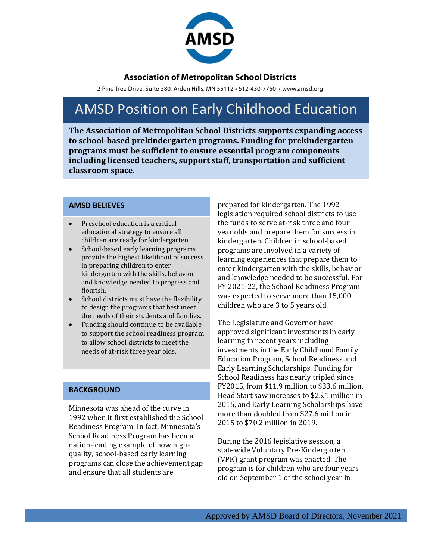

### **Association of Metropolitan School Districts**

2 Pine Tree Drive, Suite 380, Arden Hills, MN 55112 · 612-430-7750 · www.amsd.org

# AMSD Position on Early Childhood Education

**The Association of Metropolitan School Districts supports expanding access to school-based prekindergarten programs. Funding for prekindergarten programs must be sufficient to ensure essential program components including licensed teachers, support staff, transportation and sufficient classroom space.** 

#### **AMSD BELIEVES**

- Preschool education is a critical educational strategy to ensure all children are ready for kindergarten.
- School-based early learning programs provide the highest likelihood of success in preparing children to enter kindergarten with the skills, behavior and knowledge needed to progress and flourish.
- School districts must have the flexibility to design the programs that best meet the needs of their students and families.
- Funding should continue to be available to support the school readiness program to allow school districts to meet the needs of at-risk three year olds.

#### **BACKGROUND**

Minnesota was ahead of the curve in 1992 when it first established the School Readiness Program. In fact, Minnesota's School Readiness Program has been a nation-leading example of how highquality, school-based early learning programs can close the achievement gap and ensure that all students are

prepared for kindergarten. The 1992 legislation required school districts to use the funds to serve at-risk three and four year olds and prepare them for success in kindergarten. Children in school-based programs are involved in a variety of learning experiences that prepare them to enter kindergarten with the skills, behavior and knowledge needed to be successful. For FY 2021-22, the School Readiness Program was expected to serve more than 15,000 children who are 3 to 5 years old.

The Legislature and Governor have approved significant investments in early learning in recent years including investments in the Early Childhood Family Education Program, School Readiness and Early Learning Scholarships. Funding for School Readiness has nearly tripled since FY2015, from \$11.9 million to \$33.6 million. Head Start saw increases to \$25.1 million in 2015, and Early Learning Scholarships have more than doubled from \$27.6 million in 2015 to \$70.2 million in 2019.

During the 2016 legislative session, a statewide Voluntary Pre-Kindergarten (VPK) grant program was enacted. The program is for children who are four years old on September 1 of the school year in